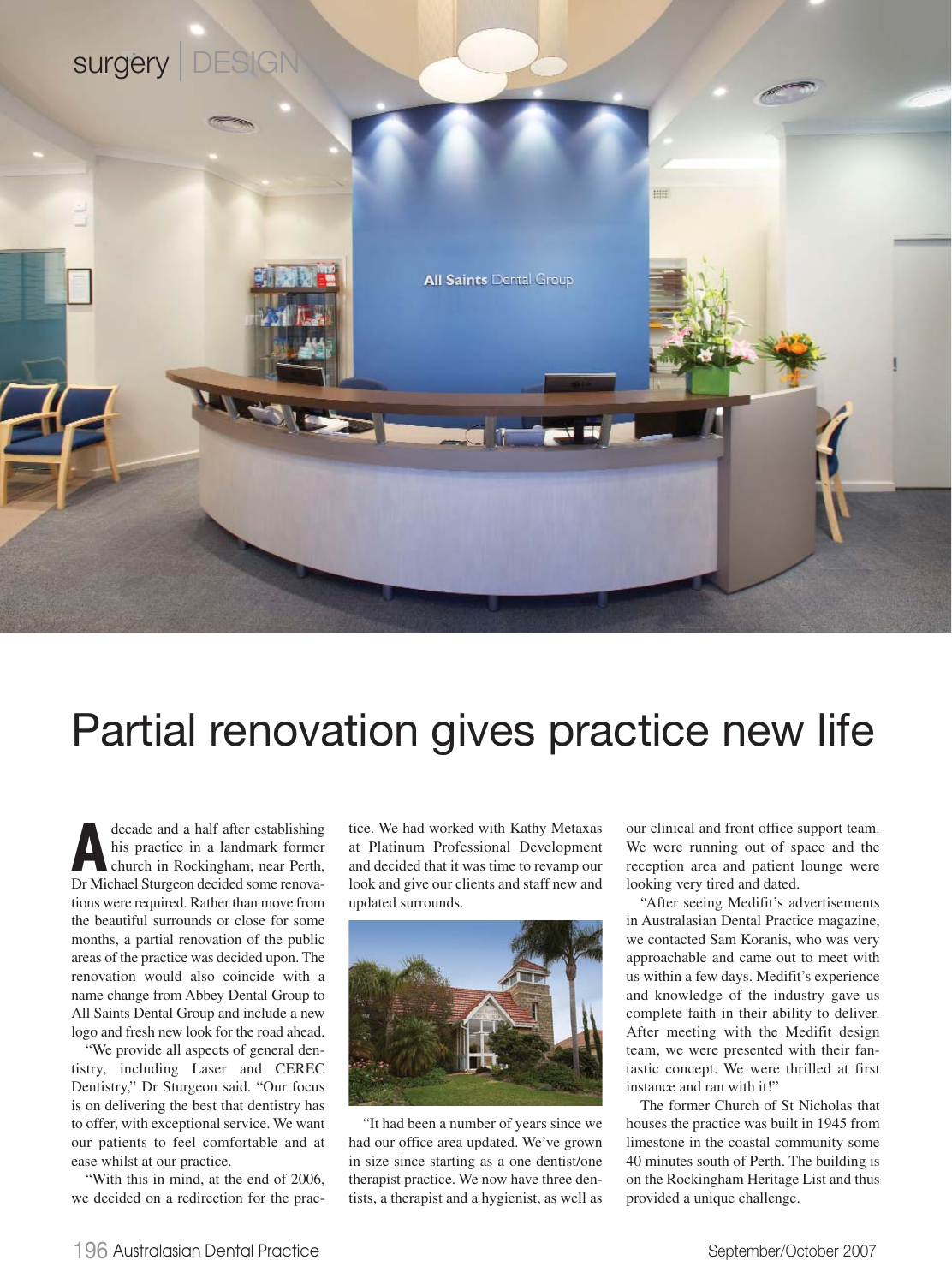

## Partial renovation gives practice new life

decade and a half after establishing<br>his practice in a landmark former<br>church in Rockingham, near Perth,<br>Dr Michael Sturgeon decided some renovahis practice in a landmark former church in Rockingham, near Perth, Dr Michael Sturgeon decided some renovations were required. Rather than move from the beautiful surrounds or close for some months, a partial renovation of the public areas of the practice was decided upon. The renovation would also coincide with a name change from Abbey Dental Group to All Saints Dental Group and include a new logo and fresh new look for the road ahead.

"We provide all aspects of general dentistry, including Laser and CEREC Dentistry," Dr Sturgeon said. "Our focus is on delivering the best that dentistry has to offer, with exceptional service. We want our patients to feel comfortable and at ease whilst at our practice.

"With this in mind, at the end of 2006, we decided on a redirection for the practice. We had worked with Kathy Metaxas at Platinum Professional Development and decided that it was time to revamp our look and give our clients and staff new and updated surrounds.



"It had been a number of years since we had our office area updated. We've grown in size since starting as a one dentist/one therapist practice. We now have three dentists, a therapist and a hygienist, as well as

our clinical and front office support team. We were running out of space and the reception area and patient lounge were looking very tired and dated.

"After seeing Medifit's advertisements in Australasian Dental Practice magazine, we contacted Sam Koranis, who was very approachable and came out to meet with us within a few days. Medifit's experience and knowledge of the industry gave us complete faith in their ability to deliver. After meeting with the Medifit design team, we were presented with their fantastic concept. We were thrilled at first instance and ran with it!"

The former Church of St Nicholas that houses the practice was built in 1945 from limestone in the coastal community some 40 minutes south of Perth. The building is on the Rockingham Heritage List and thus provided a unique challenge.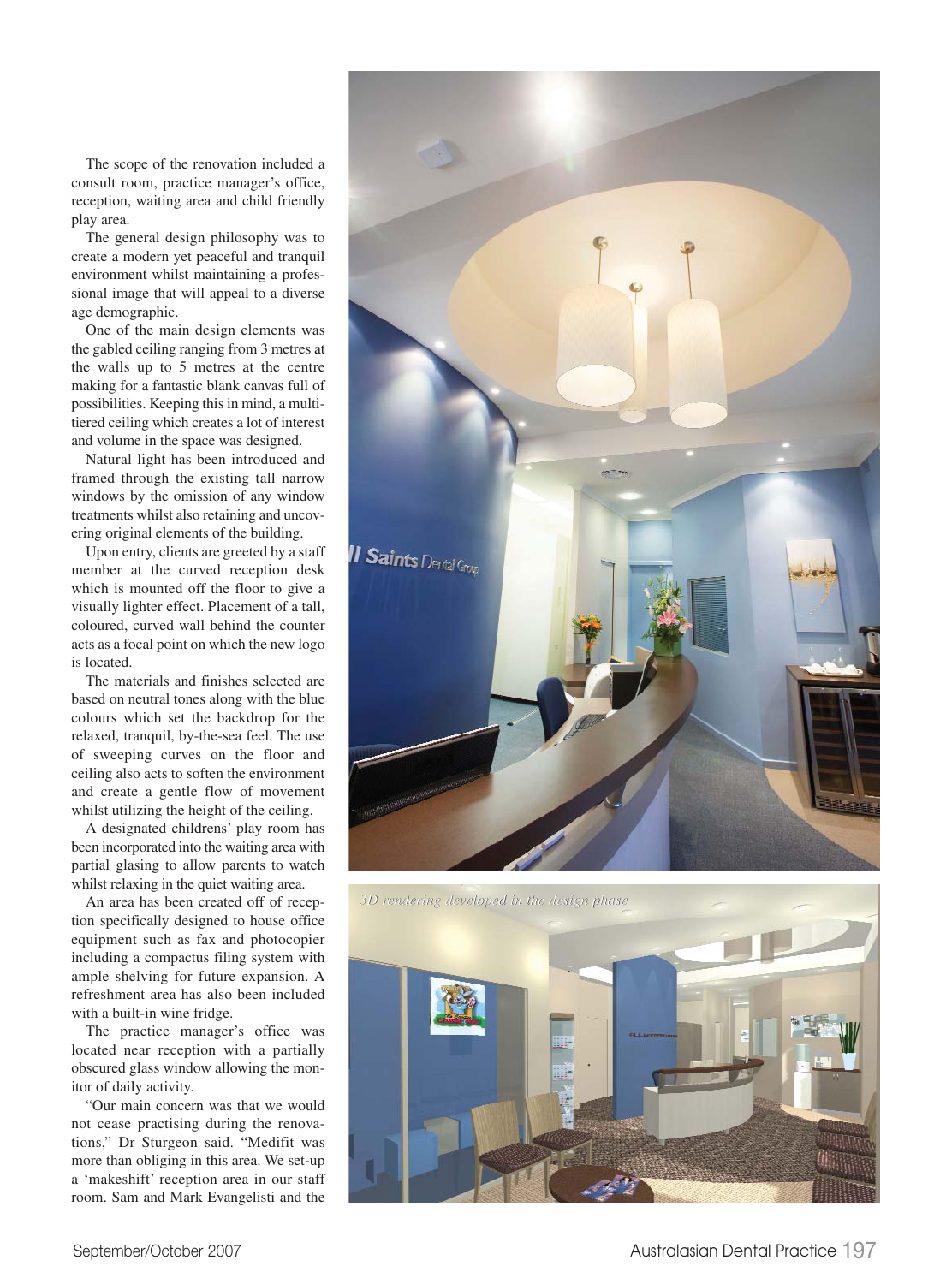The scope of the renovation included a consult room, practice manager's office, reception, waiting area and child friendly play area.

The general design philosophy was to create a modern yet peaceful and tranquil environment whilst maintaining a professional image that will appeal to a diverse age demographic.

One of the main design elements was the gabled ceiling ranging from 3 metres at the walls up to 5 metres at the centre making for a fantastic blank canvas full of possibilities. Keeping this in mind, a multitiered ceiling which creates a lot of interest and volume in the space was designed.

Natural light has been introduced and framed through the existing tall narrow windows by the omission of any window treatments whilst also retaining and uncovering original elements of the building.

Upon entry, clients are greeted by a staff member at the curved reception desk which is mounted off the floor to give a visually lighter effect. Placement of a tall, coloured, curved wall behind the counter acts as a focal point on which the new logo is located.

The materials and finishes selected are based on neutral tones along with the blue colours which set the backdrop for the relaxed, tranquil, by-the-sea feel. The use of sweeping curves on the floor and ceiling also acts to soften the environment and create a gentle flow of movement whilst utilizing the height of the ceiling.

A designated childrens' play room has been incorporated into the waiting area with partial glasing to allow parents to watch whilst relaxing in the quiet waiting area.

An area has been created off of reception specifically designed to house office equipment such as fax and photocopier including a compactus filing system with ample shelving for future expansion. A refreshment area has also been included with a built-in wine fridge.

The practice manager's office was located near reception with a partially obscured glass window allowing the monitor of daily activity.

"Our main concern was that we would not cease practising during the renovations," Dr Sturgeon said. "Medifit was more than obliging in this area. We set-up a 'makeshift' reception area in our staff room. Sam and Mark Evangelisti and the